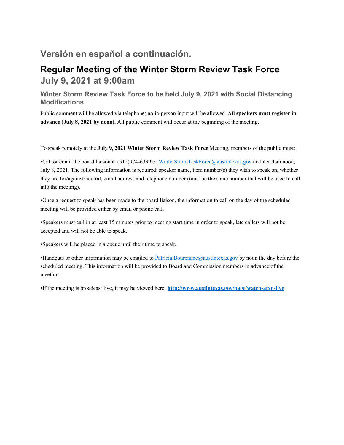# **Versión en español a continuación.**

## **Regular Meeting of the Winter Storm Review Task Force July 9, 2021 at 9:00am**

### **Winter Storm Review Task Force to be held July 9, 2021 with Social Distancing Modifications**

Public comment will be allowed via telephone; no in-person input will be allowed. **All speakers must register in advance (July 8, 2021 by noon).** All public comment will occur at the beginning of the meeting.

To speak remotely at the **July 9, 2021 Winter Storm Review Task Force** Meeting, members of the public must:

•Call or email the board liaison at (512)974-6339 or WinterStormTaskForce@austintexas.gov no later than noon, July 8, 2021. The following information is required: speaker name, item number(s) they wish to speak on, whether they are for/against/neutral, email address and telephone number (must be the same number that will be used to call into the meeting).

•Once a request to speak has been made to the board liaison, the information to call on the day of the scheduled meeting will be provided either by email or phone call.

•Speakers must call in at least 15 minutes prior to meeting start time in order to speak, late callers will not be accepted and will not be able to speak.

•Speakers will be placed in a queue until their time to speak.

•Handouts or other information may be emailed to Patricia.Bourenane@austintexas.gov by noon the day before the scheduled meeting. This information will be provided to Board and Commission members in advance of the meeting.

•If the meeting is broadcast live, it may be viewed here: **http://www.austintexas.gov/page/watch-atxn-live**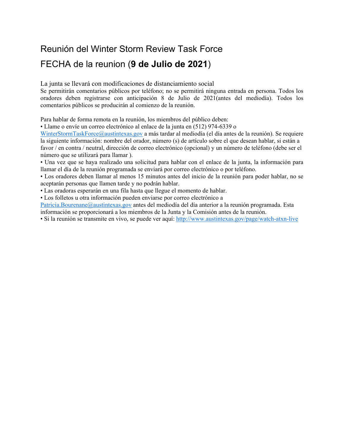# Reunión del Winter Storm Review Task Force

# FECHA de la reunion (**9 de Julio de 2021**)

La junta se llevará con modificaciones de distanciamiento social

Se permitirán comentarios públicos por teléfono; no se permitirá ninguna entrada en persona. Todos los oradores deben registrarse con anticipación 8 de Julio de 2021(antes del mediodía). Todos los comentarios públicos se producirán al comienzo de la reunión.

Para hablar de forma remota en la reunión, los miembros del público deben:

• Llame o envíe un correo electrónico al enlace de la junta en (512) 974-6339 o

WinterStormTaskForce@austintexas.gov a más tardar al mediodía (el día antes de la reunión). Se requiere la siguiente información: nombre del orador, número (s) de artículo sobre el que desean hablar, si están a favor / en contra / neutral, dirección de correo electrónico (opcional) y un número de teléfono (debe ser el número que se utilizará para llamar ).

• Una vez que se haya realizado una solicitud para hablar con el enlace de la junta, la información para llamar el día de la reunión programada se enviará por correo electrónico o por teléfono.

• Los oradores deben llamar al menos 15 minutos antes del inicio de la reunión para poder hablar, no se aceptarán personas que llamen tarde y no podrán hablar.

• Las oradoras esperarán en una fila hasta que llegue el momento de hablar.

• Los folletos u otra información pueden enviarse por correo electrónico a

Patricia.Bourenane@austintexas.gov antes del mediodía del día anterior a la reunión programada. Esta información se proporcionará a los miembros de la Junta y la Comisión antes de la reunión.

• Si la reunión se transmite en vivo, se puede ver aquí: http://www.austintexas.gov/page/watch-atxn-live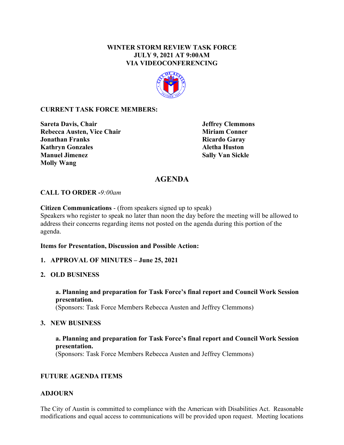#### **WINTER STORM REVIEW TASK FORCE JULY 9, 2021 AT 9:00AM VIA VIDEOCONFERENCING**



#### **CURRENT TASK FORCE MEMBERS:**

**Sareta Davis, Chair 19. In the United States of the Sareta Davis, Chair 19. In the United States of the United States of the States of Temmons Rebecca Austen, Vice Chair Miriam Conner Miriam Conner Jonathan Franks** Ricardo Garay **Kathryn Gonzales Aletha Huston Manuel Jimenez Sally Van Sickle Molly Wang** 

## **AGENDA**

#### **CALL TO ORDER -***9:00am*

**Citizen Communications** - (from speakers signed up to speak)

Speakers who register to speak no later than noon the day before the meeting will be allowed to address their concerns regarding items not posted on the agenda during this portion of the agenda.

#### **Items for Presentation, Discussion and Possible Action:**

#### **1. APPROVAL OF MINUTES – June 25, 2021**

#### **2. OLD BUSINESS**

**a. Planning and preparation for Task Force's final report and Council Work Session presentation.**  (Sponsors: Task Force Members Rebecca Austen and Jeffrey Clemmons)

#### **3. NEW BUSINESS**

#### **a. Planning and preparation for Task Force's final report and Council Work Session presentation.**

(Sponsors: Task Force Members Rebecca Austen and Jeffrey Clemmons)

#### **FUTURE AGENDA ITEMS**

#### **ADJOURN**

The City of Austin is committed to compliance with the American with Disabilities Act. Reasonable modifications and equal access to communications will be provided upon request. Meeting locations